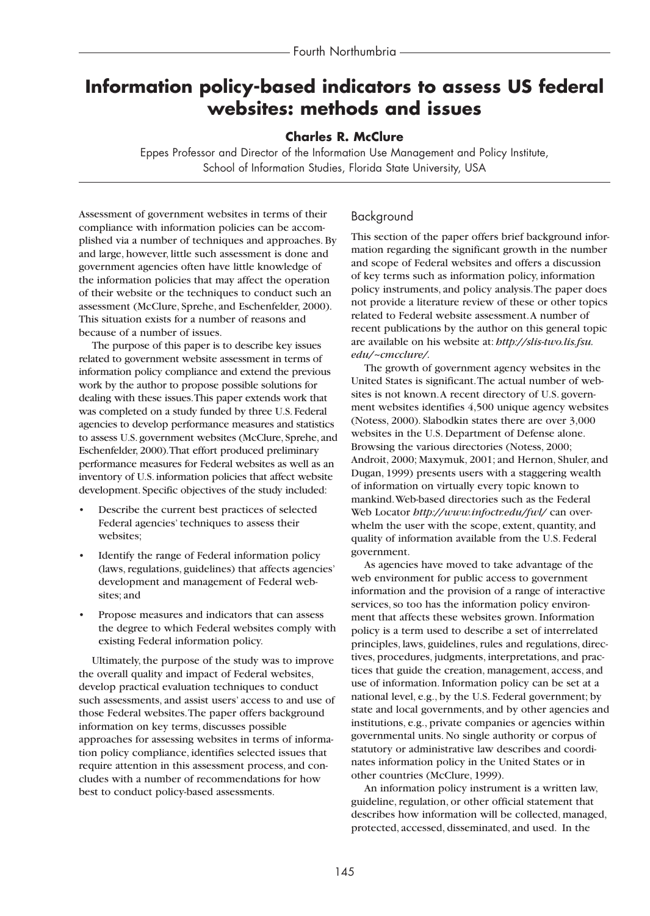# **Information policy-based indicators to assess US federal websites: methods and issues**

## **Charles R. McClure**

Eppes Professor and Director of the Information Use Management and Policy Institute, School of Information Studies, Florida State University, USA

Assessment of government websites in terms of their compliance with information policies can be accomplished via a number of techniques and approaches. By and large, however, little such assessment is done and government agencies often have little knowledge of the information policies that may affect the operation of their website or the techniques to conduct such an assessment (McClure, Sprehe, and Eschenfelder, 2000). This situation exists for a number of reasons and because of a number of issues.

The purpose of this paper is to describe key issues related to government website assessment in terms of information policy compliance and extend the previous work by the author to propose possible solutions for dealing with these issues.This paper extends work that was completed on a study funded by three U.S. Federal agencies to develop performance measures and statistics to assess U.S. government websites (McClure, Sprehe, and Eschenfelder, 2000).That effort produced preliminary performance measures for Federal websites as well as an inventory of U.S. information policies that affect website development. Specific objectives of the study included:

- Describe the current best practices of selected Federal agencies' techniques to assess their websites;
- Identify the range of Federal information policy (laws, regulations, guidelines) that affects agencies' development and management of Federal websites; and
- Propose measures and indicators that can assess the degree to which Federal websites comply with existing Federal information policy.

Ultimately, the purpose of the study was to improve the overall quality and impact of Federal websites, develop practical evaluation techniques to conduct such assessments, and assist users' access to and use of those Federal websites.The paper offers background information on key terms, discusses possible approaches for assessing websites in terms of information policy compliance, identifies selected issues that require attention in this assessment process, and concludes with a number of recommendations for how best to conduct policy-based assessments.

# Background

This section of the paper offers brief background information regarding the significant growth in the number and scope of Federal websites and offers a discussion of key terms such as information policy, information policy instruments, and policy analysis.The paper does not provide a literature review of these or other topics related to Federal website assessment.A number of recent publications by the author on this general topic are available on his website at: *http://slis-two.lis.fsu. edu/~cmcclure/.*

The growth of government agency websites in the United States is significant.The actual number of websites is not known.A recent directory of U.S. government websites identifies 4,500 unique agency websites (Notess, 2000). Slabodkin states there are over 3,000 websites in the U.S. Department of Defense alone. Browsing the various directories (Notess, 2000; Androit, 2000; Maxymuk, 2001; and Hernon, Shuler, and Dugan, 1999) presents users with a staggering wealth of information on virtually every topic known to mankind.Web-based directories such as the Federal Web Locator *http://www.infoctr.edu/fwl/* can overwhelm the user with the scope, extent, quantity, and quality of information available from the U.S. Federal government.

As agencies have moved to take advantage of the web environment for public access to government information and the provision of a range of interactive services, so too has the information policy environment that affects these websites grown. Information policy is a term used to describe a set of interrelated principles, laws, guidelines, rules and regulations, directives, procedures, judgments, interpretations, and practices that guide the creation, management, access, and use of information. Information policy can be set at a national level, e.g., by the U.S. Federal government; by state and local governments, and by other agencies and institutions, e.g., private companies or agencies within governmental units. No single authority or corpus of statutory or administrative law describes and coordinates information policy in the United States or in other countries (McClure, 1999).

An information policy instrument is a written law, guideline, regulation, or other official statement that describes how information will be collected, managed, protected, accessed, disseminated, and used. In the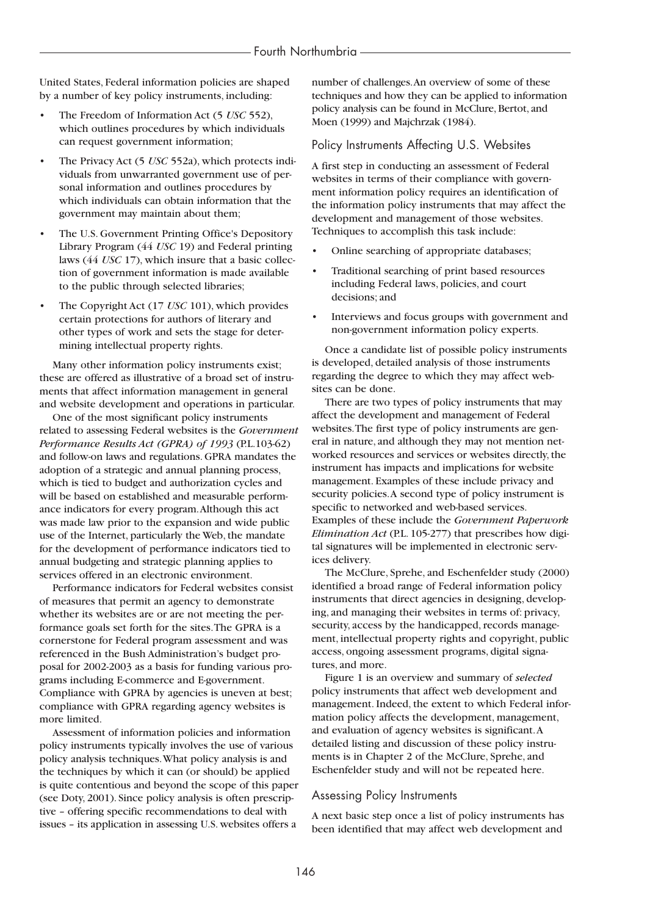United States, Federal information policies are shaped by a number of key policy instruments, including:

- The Freedom of Information Act (5 *USC* 552), which outlines procedures by which individuals can request government information;
- The Privacy Act (5 *USC* 552a), which protects individuals from unwarranted government use of personal information and outlines procedures by which individuals can obtain information that the government may maintain about them;
- The U.S. Government Printing Office's Depository Library Program (44 *USC* 19) and Federal printing laws (44 *USC* 17), which insure that a basic collection of government information is made available to the public through selected libraries;
- The Copyright Act (17 *USC* 101), which provides certain protections for authors of literary and other types of work and sets the stage for determining intellectual property rights.

Many other information policy instruments exist; these are offered as illustrative of a broad set of instruments that affect information management in general and website development and operations in particular.

One of the most significant policy instruments related to assessing Federal websites is the *Government Performance Results Act (GPRA) of 1993* (P.L.103-62) and follow-on laws and regulations. GPRA mandates the adoption of a strategic and annual planning process, which is tied to budget and authorization cycles and will be based on established and measurable performance indicators for every program.Although this act was made law prior to the expansion and wide public use of the Internet, particularly the Web, the mandate for the development of performance indicators tied to annual budgeting and strategic planning applies to services offered in an electronic environment.

Performance indicators for Federal websites consist of measures that permit an agency to demonstrate whether its websites are or are not meeting the performance goals set forth for the sites.The GPRA is a cornerstone for Federal program assessment and was referenced in the Bush Administration's budget proposal for 2002-2003 as a basis for funding various programs including E-commerce and E-government. Compliance with GPRA by agencies is uneven at best; compliance with GPRA regarding agency websites is more limited.

Assessment of information policies and information policy instruments typically involves the use of various policy analysis techniques.What policy analysis is and the techniques by which it can (or should) be applied is quite contentious and beyond the scope of this paper (see Doty, 2001). Since policy analysis is often prescriptive – offering specific recommendations to deal with issues – its application in assessing U.S. websites offers a

number of challenges.An overview of some of these techniques and how they can be applied to information policy analysis can be found in McClure, Bertot, and Moen (1999) and Majchrzak (1984).

#### Policy Instruments Affecting U.S. Websites

A first step in conducting an assessment of Federal websites in terms of their compliance with government information policy requires an identification of the information policy instruments that may affect the development and management of those websites. Techniques to accomplish this task include:

- Online searching of appropriate databases;
- Traditional searching of print based resources including Federal laws, policies, and court decisions; and
- Interviews and focus groups with government and non-government information policy experts.

Once a candidate list of possible policy instruments is developed, detailed analysis of those instruments regarding the degree to which they may affect websites can be done.

There are two types of policy instruments that may affect the development and management of Federal websites.The first type of policy instruments are general in nature, and although they may not mention networked resources and services or websites directly, the instrument has impacts and implications for website management. Examples of these include privacy and security policies.A second type of policy instrument is specific to networked and web-based services. Examples of these include the *Government Paperwork Elimination Act* (P.L. 105-277) that prescribes how digital signatures will be implemented in electronic services delivery.

The McClure, Sprehe, and Eschenfelder study (2000) identified a broad range of Federal information policy instruments that direct agencies in designing, developing, and managing their websites in terms of: privacy, security, access by the handicapped, records management, intellectual property rights and copyright, public access, ongoing assessment programs, digital signatures, and more.

Figure 1 is an overview and summary of *selected* policy instruments that affect web development and management. Indeed, the extent to which Federal information policy affects the development, management, and evaluation of agency websites is significant.A detailed listing and discussion of these policy instruments is in Chapter 2 of the McClure, Sprehe, and Eschenfelder study and will not be repeated here.

#### Assessing Policy Instruments

A next basic step once a list of policy instruments has been identified that may affect web development and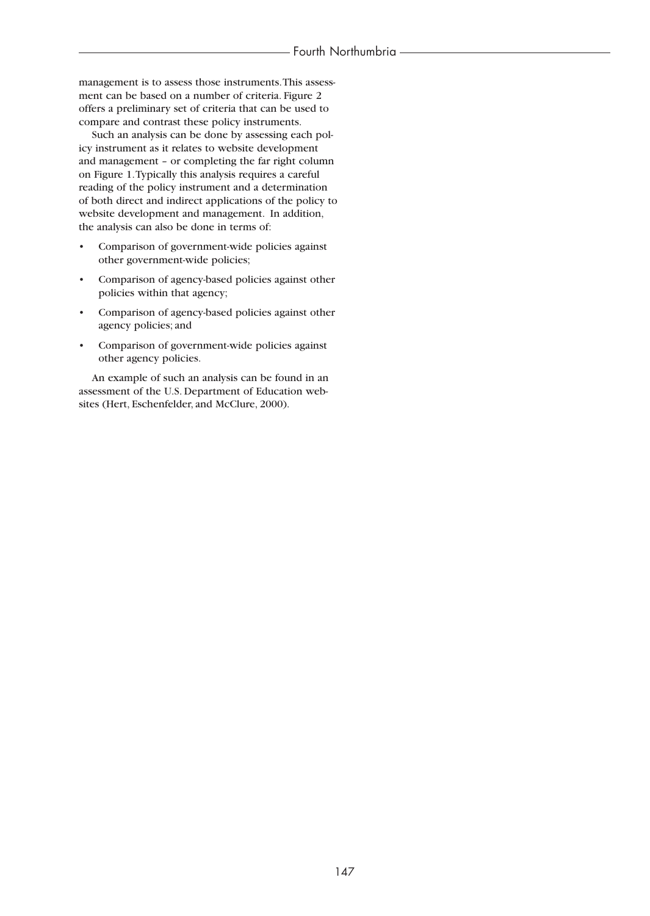management is to assess those instruments.This assessment can be based on a number of criteria. Figure 2 offers a preliminary set of criteria that can be used to compare and contrast these policy instruments.

Such an analysis can be done by assessing each policy instrument as it relates to website development and management – or completing the far right column on Figure 1.Typically this analysis requires a careful reading of the policy instrument and a determination of both direct and indirect applications of the policy to website development and management. In addition, the analysis can also be done in terms of:

- Comparison of government-wide policies against other government-wide policies;
- Comparison of agency-based policies against other policies within that agency;
- Comparison of agency-based policies against other agency policies; and
- Comparison of government-wide policies against other agency policies.

An example of such an analysis can be found in an assessment of the U.S. Department of Education websites (Hert, Eschenfelder, and McClure, 2000).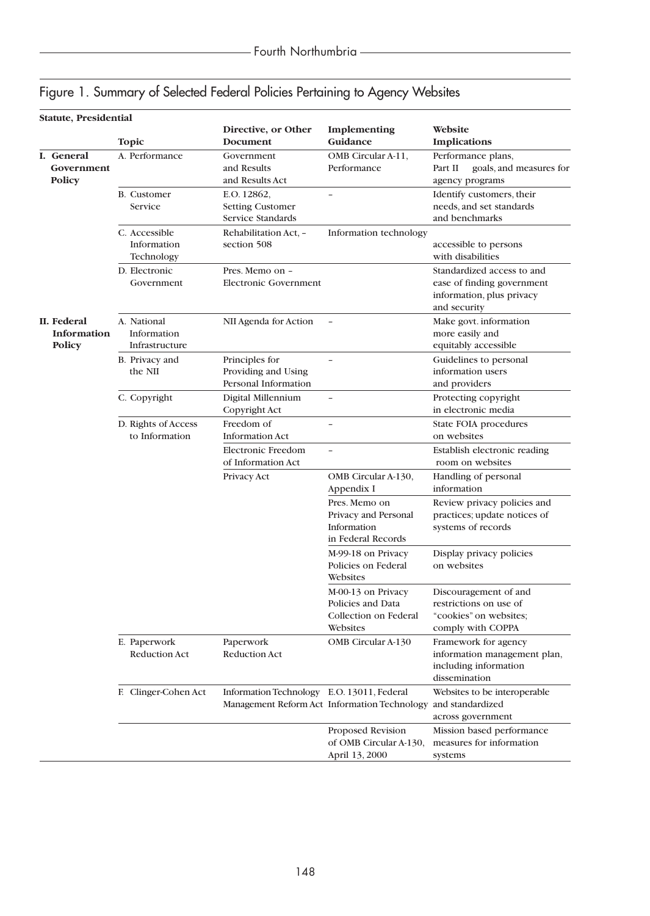|  |  |  | Figure 1. Summary of Selected Federal Policies Pertaining to Agency Websites |  |
|--|--|--|------------------------------------------------------------------------------|--|
|  |  |  |                                                                              |  |

|  | Statute, Presidential                     |                                              |                                                               |                                                                              |                                                                                                       |
|--|-------------------------------------------|----------------------------------------------|---------------------------------------------------------------|------------------------------------------------------------------------------|-------------------------------------------------------------------------------------------------------|
|  |                                           | <b>Topic</b>                                 | Directive, or Other<br>Document                               | Implementing<br>Guidance                                                     | Website<br><b>Implications</b>                                                                        |
|  | I. General<br>Government<br><b>Policy</b> | A. Performance                               | Government<br>and Results<br>and Results Act                  | OMB Circular A-11,<br>Performance                                            | Performance plans,<br>Part II<br>goals, and measures for<br>agency programs                           |
|  |                                           | <b>B.</b> Customer<br>Service                | E.O. 12862,<br><b>Setting Customer</b><br>Service Standards   | $\overline{\phantom{0}}$                                                     | Identify customers, their<br>needs, and set standards<br>and benchmarks                               |
|  |                                           | C. Accessible<br>Information<br>Technology   | Rehabilitation Act, -<br>section 508                          | Information technology                                                       | accessible to persons<br>with disabilities                                                            |
|  |                                           | D. Electronic<br>Government                  | Pres. Memo on -<br><b>Electronic Government</b>               |                                                                              | Standardized access to and<br>ease of finding government<br>information, plus privacy<br>and security |
|  | II. Federal<br>Information<br>Policy      | A. National<br>Information<br>Infrastructure | NII Agenda for Action                                         |                                                                              | Make govt. information<br>more easily and<br>equitably accessible                                     |
|  |                                           | B. Privacy and<br>the NII                    | Principles for<br>Providing and Using<br>Personal Information |                                                                              | Guidelines to personal<br>information users<br>and providers                                          |
|  |                                           | C. Copyright                                 | Digital Millennium<br>Copyright Act                           | $\overline{\phantom{0}}$                                                     | Protecting copyright<br>in electronic media                                                           |
|  |                                           | D. Rights of Access<br>to Information        | Freedom of<br><b>Information Act</b>                          | $\overline{a}$                                                               | State FOIA procedures<br>on websites                                                                  |
|  |                                           |                                              | <b>Electronic Freedom</b><br>of Information Act               | $\overline{a}$                                                               | Establish electronic reading<br>room on websites                                                      |
|  |                                           |                                              | Privacy Act                                                   | OMB Circular A-130,<br>Appendix I                                            | Handling of personal<br>information                                                                   |
|  |                                           |                                              |                                                               | Pres. Memo on<br>Privacy and Personal<br>Information<br>in Federal Records   | Review privacy policies and<br>practices; update notices of<br>systems of records                     |
|  |                                           |                                              |                                                               | M-99-18 on Privacy<br>Policies on Federal<br>Websites                        | Display privacy policies<br>on websites                                                               |
|  |                                           |                                              |                                                               | M-00-13 on Privacy<br>Policies and Data<br>Collection on Federal<br>Websites | Discouragement of and<br>restrictions on use of<br>"cookies" on websites;<br>comply with COPPA        |
|  |                                           | E. Paperwork<br>Reduction Act                | Paperwork<br><b>Reduction Act</b>                             | OMB Circular A-130                                                           | Framework for agency<br>information management plan,<br>including information<br>dissemination        |
|  |                                           | F. Clinger-Cohen Act                         | Information Technology E.O. 13011, Federal                    | Management Reform Act Information Technology and standardized                | Websites to be interoperable<br>across government                                                     |
|  |                                           |                                              |                                                               | Proposed Revision<br>of OMB Circular A-130,<br>April 13, 2000                | Mission based performance<br>measures for information<br>systems                                      |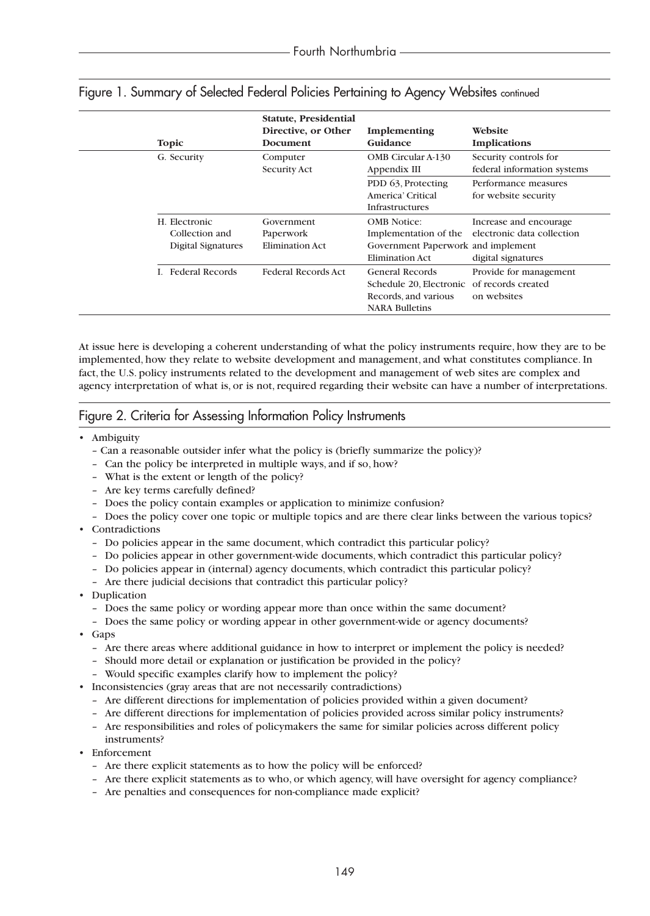| <b>Topic</b>                                          | Statute, Presidential<br>Directive, or Other<br>Document | Implementing<br>Guidance                                                                                       | Website<br><b>Implications</b>                                             |
|-------------------------------------------------------|----------------------------------------------------------|----------------------------------------------------------------------------------------------------------------|----------------------------------------------------------------------------|
| G. Security                                           | Computer<br>Security Act                                 | <b>OMB</b> Circular A-130<br>Appendix III                                                                      | Security controls for<br>federal information systems                       |
|                                                       |                                                          | PDD 63, Protecting<br>America' Critical<br><b>Infrastructures</b>                                              | Performance measures<br>for website security                               |
| H. Electronic<br>Collection and<br>Digital Signatures | Government<br>Paperwork<br><b>Elimination Act</b>        | <b>OMB</b> Notice:<br>Implementation of the<br>Government Paperwork and implement<br><b>Elimination Act</b>    | Increase and encourage<br>electronic data collection<br>digital signatures |
| <b>I.</b> Federal Records                             | <b>Federal Records Act</b>                               | General Records<br>Schedule 20, Electronic of records created<br>Records, and various<br><b>NARA Bulletins</b> | Provide for management<br>on websites                                      |

# Figure 1. Summary of Selected Federal Policies Pertaining to Agency Websites continued

At issue here is developing a coherent understanding of what the policy instruments require, how they are to be implemented, how they relate to website development and management, and what constitutes compliance. In fact, the U.S. policy instruments related to the development and management of web sites are complex and agency interpretation of what is, or is not, required regarding their website can have a number of interpretations.

# Figure 2. Criteria for Assessing Information Policy Instruments

- Ambiguity
	- Can a reasonable outsider infer what the policy is (briefly summarize the policy)?
	- Can the policy be interpreted in multiple ways, and if so, how?
	- What is the extent or length of the policy?
	- Are key terms carefully defined?
	- Does the policy contain examples or application to minimize confusion?
	- Does the policy cover one topic or multiple topics and are there clear links between the various topics?
- Contradictions
	- Do policies appear in the same document, which contradict this particular policy?
	- Do policies appear in other government-wide documents, which contradict this particular policy?
	- Do policies appear in (internal) agency documents, which contradict this particular policy?
	- Are there judicial decisions that contradict this particular policy?
- Duplication
	- Does the same policy or wording appear more than once within the same document?
	- Does the same policy or wording appear in other government-wide or agency documents?
- Gaps
	- Are there areas where additional guidance in how to interpret or implement the policy is needed?
	- Should more detail or explanation or justification be provided in the policy?
	- Would specific examples clarify how to implement the policy?
- Inconsistencies (gray areas that are not necessarily contradictions)
	- Are different directions for implementation of policies provided within a given document?
	- Are different directions for implementation of policies provided across similar policy instruments?
	- Are responsibilities and roles of policymakers the same for similar policies across different policy instruments?
- Enforcement
	- Are there explicit statements as to how the policy will be enforced?
	- Are there explicit statements as to who, or which agency, will have oversight for agency compliance?
	- Are penalties and consequences for non-compliance made explicit?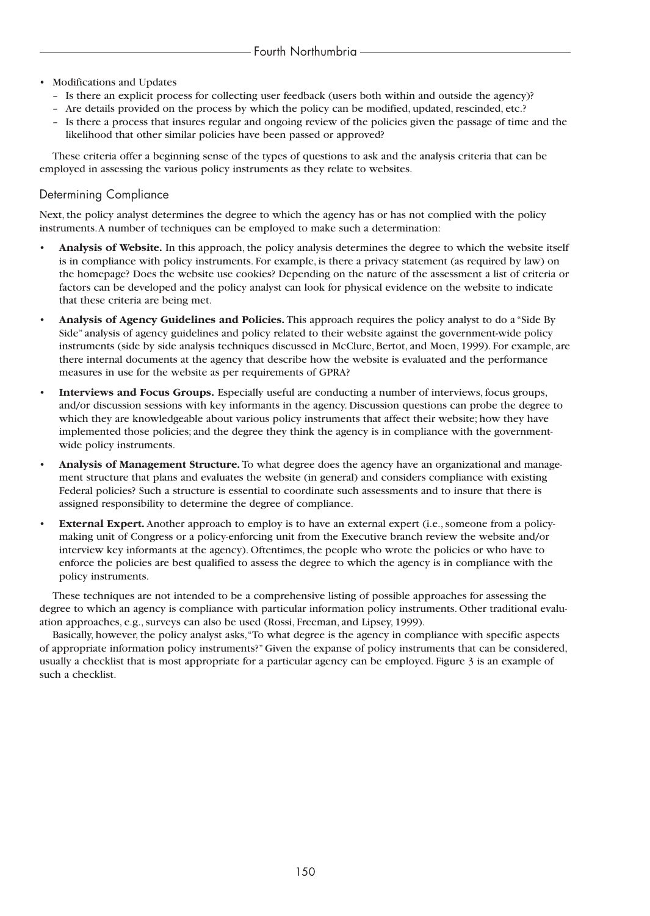- Modifications and Updates
	- Is there an explicit process for collecting user feedback (users both within and outside the agency)?
	- Are details provided on the process by which the policy can be modified, updated, rescinded, etc.?
	- Is there a process that insures regular and ongoing review of the policies given the passage of time and the likelihood that other similar policies have been passed or approved?

These criteria offer a beginning sense of the types of questions to ask and the analysis criteria that can be employed in assessing the various policy instruments as they relate to websites.

# Determining Compliance

Next, the policy analyst determines the degree to which the agency has or has not complied with the policy instruments.A number of techniques can be employed to make such a determination:

- **Analysis of Website.** In this approach, the policy analysis determines the degree to which the website itself is in compliance with policy instruments. For example, is there a privacy statement (as required by law) on the homepage? Does the website use cookies? Depending on the nature of the assessment a list of criteria or factors can be developed and the policy analyst can look for physical evidence on the website to indicate that these criteria are being met.
- **Analysis of Agency Guidelines and Policies.** This approach requires the policy analyst to do a "Side By Side" analysis of agency guidelines and policy related to their website against the government-wide policy instruments (side by side analysis techniques discussed in McClure, Bertot, and Moen, 1999). For example, are there internal documents at the agency that describe how the website is evaluated and the performance measures in use for the website as per requirements of GPRA?
- **Interviews and Focus Groups.** Especially useful are conducting a number of interviews, focus groups, and/or discussion sessions with key informants in the agency. Discussion questions can probe the degree to which they are knowledgeable about various policy instruments that affect their website; how they have implemented those policies; and the degree they think the agency is in compliance with the governmentwide policy instruments.
- **Analysis of Management Structure.** To what degree does the agency have an organizational and management structure that plans and evaluates the website (in general) and considers compliance with existing Federal policies? Such a structure is essential to coordinate such assessments and to insure that there is assigned responsibility to determine the degree of compliance.
- **External Expert.** Another approach to employ is to have an external expert (i.e., someone from a policymaking unit of Congress or a policy-enforcing unit from the Executive branch review the website and/or interview key informants at the agency). Oftentimes, the people who wrote the policies or who have to enforce the policies are best qualified to assess the degree to which the agency is in compliance with the policy instruments.

These techniques are not intended to be a comprehensive listing of possible approaches for assessing the degree to which an agency is compliance with particular information policy instruments. Other traditional evaluation approaches, e.g., surveys can also be used (Rossi, Freeman, and Lipsey, 1999).

Basically, however, the policy analyst asks,"To what degree is the agency in compliance with specific aspects of appropriate information policy instruments?" Given the expanse of policy instruments that can be considered, usually a checklist that is most appropriate for a particular agency can be employed. Figure 3 is an example of such a checklist.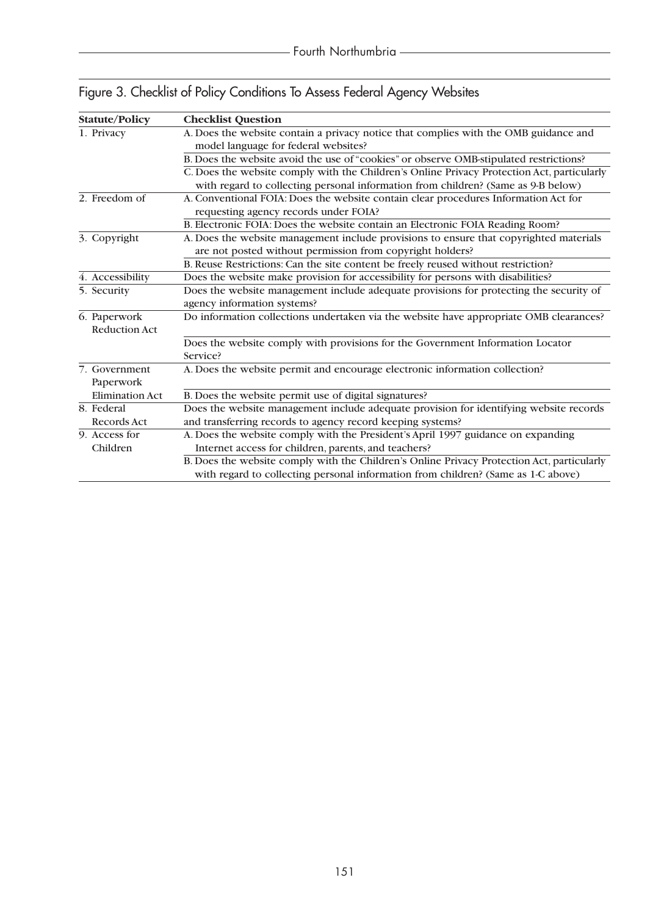| <b>Statute/Policy</b>  | <b>Checklist Question</b>                                                                  |
|------------------------|--------------------------------------------------------------------------------------------|
| 1. Privacy             | A. Does the website contain a privacy notice that complies with the OMB guidance and       |
|                        | model language for federal websites?                                                       |
|                        | B. Does the website avoid the use of "cookies" or observe OMB-stipulated restrictions?     |
|                        | C. Does the website comply with the Children's Online Privacy Protection Act, particularly |
|                        | with regard to collecting personal information from children? (Same as 9-B below)          |
| 2. Freedom of          | A. Conventional FOIA: Does the website contain clear procedures Information Act for        |
|                        | requesting agency records under FOIA?                                                      |
|                        | B. Electronic FOIA: Does the website contain an Electronic FOIA Reading Room?              |
| 3. Copyright           | A. Does the website management include provisions to ensure that copyrighted materials     |
|                        | are not posted without permission from copyright holders?                                  |
|                        | B. Reuse Restrictions: Can the site content be freely reused without restriction?          |
| 4. Accessibility       | Does the website make provision for accessibility for persons with disabilities?           |
| 5. Security            | Does the website management include adequate provisions for protecting the security of     |
|                        | agency information systems?                                                                |
| 6. Paperwork           | Do information collections undertaken via the website have appropriate OMB clearances?     |
| <b>Reduction Act</b>   |                                                                                            |
|                        | Does the website comply with provisions for the Government Information Locator             |
|                        | Service?                                                                                   |
| 7. Government          | A. Does the website permit and encourage electronic information collection?                |
| Paperwork              |                                                                                            |
| <b>Elimination Act</b> | B. Does the website permit use of digital signatures?                                      |
| 8. Federal             | Does the website management include adequate provision for identifying website records     |
| Records Act            | and transferring records to agency record keeping systems?                                 |
| 9. Access for          | A. Does the website comply with the President's April 1997 guidance on expanding           |
| Children               | Internet access for children, parents, and teachers?                                       |
|                        | B. Does the website comply with the Children's Online Privacy Protection Act, particularly |
|                        | with regard to collecting personal information from children? (Same as 1-C above)          |

Figure 3. Checklist of Policy Conditions To Assess Federal Agency Websites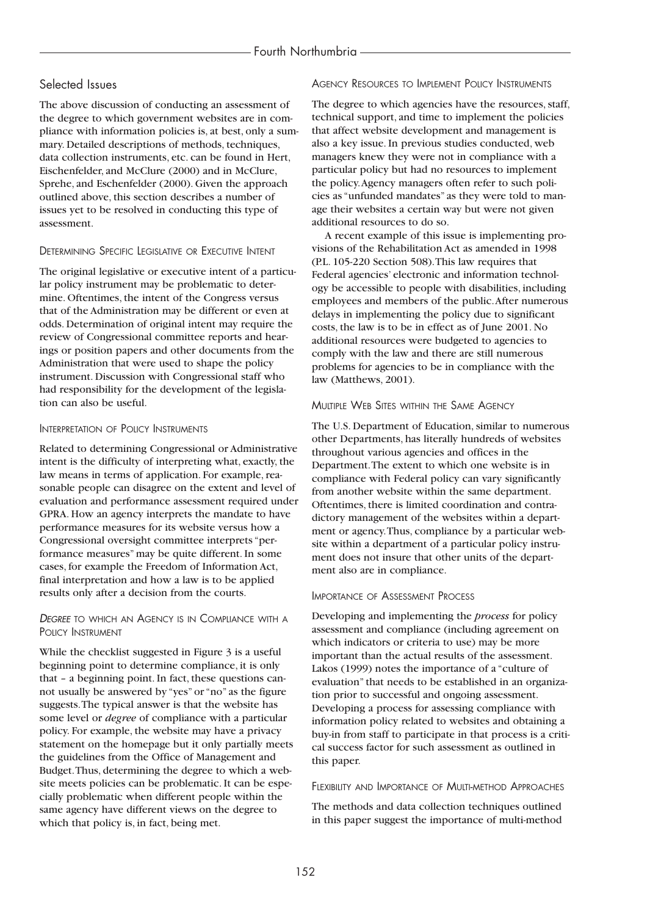### Selected Issues

The above discussion of conducting an assessment of the degree to which government websites are in compliance with information policies is, at best, only a summary. Detailed descriptions of methods, techniques, data collection instruments, etc. can be found in Hert, Eischenfelder, and McClure (2000) and in McClure, Sprehe, and Eschenfelder (2000). Given the approach outlined above, this section describes a number of issues yet to be resolved in conducting this type of assessment.

#### DETERMINING SPECIFIC LEGISLATIVE OR EXECUTIVE INTENT

The original legislative or executive intent of a particular policy instrument may be problematic to determine. Oftentimes, the intent of the Congress versus that of the Administration may be different or even at odds. Determination of original intent may require the review of Congressional committee reports and hearings or position papers and other documents from the Administration that were used to shape the policy instrument. Discussion with Congressional staff who had responsibility for the development of the legislation can also be useful.

#### INTERPRETATION OF POLICY INSTRUMENTS

Related to determining Congressional or Administrative intent is the difficulty of interpreting what, exactly, the law means in terms of application. For example, reasonable people can disagree on the extent and level of evaluation and performance assessment required under GPRA. How an agency interprets the mandate to have performance measures for its website versus how a Congressional oversight committee interprets "performance measures" may be quite different. In some cases, for example the Freedom of Information Act, final interpretation and how a law is to be applied results only after a decision from the courts.

#### *DEGREE* TO WHICH AN AGENCY IS IN COMPLIANCE WITH A POLICY INSTRUMENT

While the checklist suggested in Figure 3 is a useful beginning point to determine compliance, it is only that – a beginning point. In fact, these questions cannot usually be answered by "yes" or "no" as the figure suggests.The typical answer is that the website has some level or *degree* of compliance with a particular policy. For example, the website may have a privacy statement on the homepage but it only partially meets the guidelines from the Office of Management and Budget.Thus, determining the degree to which a website meets policies can be problematic. It can be especially problematic when different people within the same agency have different views on the degree to which that policy is, in fact, being met.

#### AGENCY RESOURCES TO IMPLEMENT POLICY INSTRUMENTS

The degree to which agencies have the resources, staff, technical support, and time to implement the policies that affect website development and management is also a key issue. In previous studies conducted, web managers knew they were not in compliance with a particular policy but had no resources to implement the policy.Agency managers often refer to such policies as "unfunded mandates" as they were told to manage their websites a certain way but were not given additional resources to do so.

A recent example of this issue is implementing provisions of the Rehabilitation Act as amended in 1998 (P.L. 105-220 Section 508).This law requires that Federal agencies' electronic and information technology be accessible to people with disabilities, including employees and members of the public.After numerous delays in implementing the policy due to significant costs, the law is to be in effect as of June 2001. No additional resources were budgeted to agencies to comply with the law and there are still numerous problems for agencies to be in compliance with the law (Matthews, 2001).

#### MULTIPLE WEB SITES WITHIN THE SAME AGENCY

The U.S. Department of Education, similar to numerous other Departments, has literally hundreds of websites throughout various agencies and offices in the Department.The extent to which one website is in compliance with Federal policy can vary significantly from another website within the same department. Oftentimes, there is limited coordination and contradictory management of the websites within a department or agency.Thus, compliance by a particular website within a department of a particular policy instrument does not insure that other units of the department also are in compliance.

#### IMPORTANCE OF ASSESSMENT PROCESS

Developing and implementing the *process* for policy assessment and compliance (including agreement on which indicators or criteria to use) may be more important than the actual results of the assessment. Lakos (1999) notes the importance of a "culture of evaluation" that needs to be established in an organization prior to successful and ongoing assessment. Developing a process for assessing compliance with information policy related to websites and obtaining a buy-in from staff to participate in that process is a critical success factor for such assessment as outlined in this paper.

#### FLEXIBILITY AND IMPORTANCE OF MULTI-METHOD APPROACHES

The methods and data collection techniques outlined in this paper suggest the importance of multi-method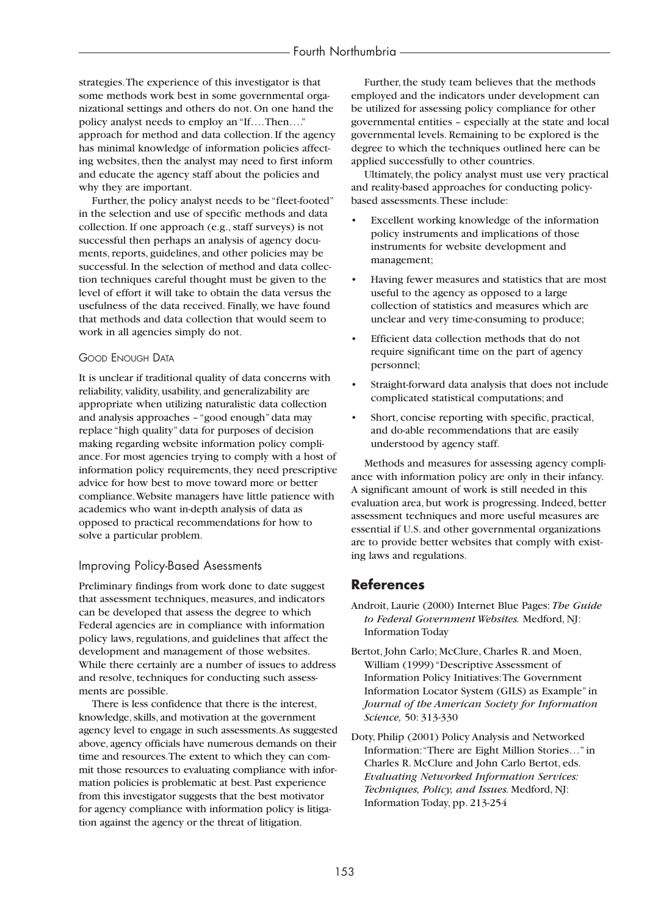strategies.The experience of this investigator is that some methods work best in some governmental organizational settings and others do not. On one hand the policy analyst needs to employ an "If….Then…." approach for method and data collection. If the agency has minimal knowledge of information policies affecting websites, then the analyst may need to first inform and educate the agency staff about the policies and why they are important.

Further, the policy analyst needs to be "fleet-footed" in the selection and use of specific methods and data collection. If one approach (e.g., staff surveys) is not successful then perhaps an analysis of agency documents, reports, guidelines, and other policies may be successful. In the selection of method and data collection techniques careful thought must be given to the level of effort it will take to obtain the data versus the usefulness of the data received. Finally, we have found that methods and data collection that would seem to work in all agencies simply do not.

#### GOOD ENOUGH DATA

It is unclear if traditional quality of data concerns with reliability, validity, usability, and generalizability are appropriate when utilizing naturalistic data collection and analysis approaches – "good enough" data may replace "high quality" data for purposes of decision making regarding website information policy compliance. For most agencies trying to comply with a host of information policy requirements, they need prescriptive advice for how best to move toward more or better compliance.Website managers have little patience with academics who want in-depth analysis of data as opposed to practical recommendations for how to solve a particular problem.

#### Improving Policy-Based Asessments

Preliminary findings from work done to date suggest that assessment techniques, measures, and indicators can be developed that assess the degree to which Federal agencies are in compliance with information policy laws, regulations, and guidelines that affect the development and management of those websites. While there certainly are a number of issues to address and resolve, techniques for conducting such assessments are possible.

There is less confidence that there is the interest, knowledge, skills, and motivation at the government agency level to engage in such assessments.As suggested above, agency officials have numerous demands on their time and resources.The extent to which they can commit those resources to evaluating compliance with information policies is problematic at best. Past experience from this investigator suggests that the best motivator for agency compliance with information policy is litigation against the agency or the threat of litigation.

Further, the study team believes that the methods employed and the indicators under development can be utilized for assessing policy compliance for other governmental entities – especially at the state and local governmental levels. Remaining to be explored is the degree to which the techniques outlined here can be applied successfully to other countries.

Ultimately, the policy analyst must use very practical and reality-based approaches for conducting policybased assessments.These include:

- Excellent working knowledge of the information policy instruments and implications of those instruments for website development and management;
- Having fewer measures and statistics that are most useful to the agency as opposed to a large collection of statistics and measures which are unclear and very time-consuming to produce;
- Efficient data collection methods that do not require significant time on the part of agency personnel;
- Straight-forward data analysis that does not include complicated statistical computations; and
- Short, concise reporting with specific, practical, and do-able recommendations that are easily understood by agency staff.

Methods and measures for assessing agency compliance with information policy are only in their infancy. A significant amount of work is still needed in this evaluation area, but work is progressing. Indeed, better assessment techniques and more useful measures are essential if U.S. and other governmental organizations are to provide better websites that comply with existing laws and regulations.

# **References**

- Androit, Laurie (2000) Internet Blue Pages: *The Guide to Federal Government Websites.* Medford, NJ: Information Today
- Bertot, John Carlo; McClure, Charles R. and Moen, William (1999) "Descriptive Assessment of Information Policy Initiatives:The Government Information Locator System (GILS) as Example" in *Journal of the American Society for Information Science,* 50: 313-330
- Doty, Philip (2001) Policy Analysis and Networked Information:"There are Eight Million Stories…" in Charles R. McClure and John Carlo Bertot, eds. *Evaluating Networked Information Services: Techniques, Policy, and Issues.* Medford, NJ: Information Today, pp. 213-254